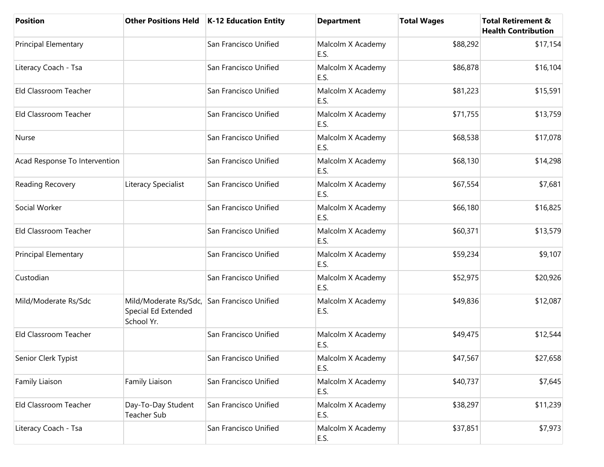| <b>Position</b>               |                                                                                  | Other Positions Held   K-12 Education Entity | <b>Department</b>         | <b>Total Wages</b> | <b>Total Retirement &amp;</b><br><b>Health Contribution</b> |
|-------------------------------|----------------------------------------------------------------------------------|----------------------------------------------|---------------------------|--------------------|-------------------------------------------------------------|
| <b>Principal Elementary</b>   |                                                                                  | San Francisco Unified                        | Malcolm X Academy<br>E.S. | \$88,292           | \$17,154                                                    |
| Literacy Coach - Tsa          |                                                                                  | San Francisco Unified                        | Malcolm X Academy<br>E.S. | \$86,878           | \$16,104                                                    |
| Eld Classroom Teacher         |                                                                                  | San Francisco Unified                        | Malcolm X Academy<br>E.S. | \$81,223           | \$15,591                                                    |
| Eld Classroom Teacher         |                                                                                  | San Francisco Unified                        | Malcolm X Academy<br>E.S. | \$71,755           | \$13,759                                                    |
| Nurse                         |                                                                                  | San Francisco Unified                        | Malcolm X Academy<br>E.S. | \$68,538           | \$17,078                                                    |
| Acad Response To Intervention |                                                                                  | San Francisco Unified                        | Malcolm X Academy<br>E.S. | \$68,130           | \$14,298                                                    |
| Reading Recovery              | Literacy Specialist                                                              | San Francisco Unified                        | Malcolm X Academy<br>E.S. | \$67,554           | \$7,681                                                     |
| Social Worker                 |                                                                                  | San Francisco Unified                        | Malcolm X Academy<br>E.S. | \$66,180           | \$16,825                                                    |
| Eld Classroom Teacher         |                                                                                  | San Francisco Unified                        | Malcolm X Academy<br>E.S. | \$60,371           | \$13,579                                                    |
| <b>Principal Elementary</b>   |                                                                                  | San Francisco Unified                        | Malcolm X Academy<br>E.S. | \$59,234           | \$9,107                                                     |
| Custodian                     |                                                                                  | San Francisco Unified                        | Malcolm X Academy<br>E.S. | \$52,975           | \$20,926                                                    |
| Mild/Moderate Rs/Sdc          | Mild/Moderate Rs/Sdc, San Francisco Unified<br>Special Ed Extended<br>School Yr. |                                              | Malcolm X Academy<br>E.S. | \$49,836           | \$12,087                                                    |
| Eld Classroom Teacher         |                                                                                  | San Francisco Unified                        | Malcolm X Academy<br>E.S. | \$49,475           | \$12,544                                                    |
| Senior Clerk Typist           |                                                                                  | San Francisco Unified                        | Malcolm X Academy<br>E.S. | \$47,567           | \$27,658                                                    |
| Family Liaison                | Family Liaison                                                                   | San Francisco Unified                        | Malcolm X Academy<br>E.S. | \$40,737           | \$7,645                                                     |
| Eld Classroom Teacher         | Day-To-Day Student<br>Teacher Sub                                                | San Francisco Unified                        | Malcolm X Academy<br>E.S. | \$38,297           | \$11,239                                                    |
| Literacy Coach - Tsa          |                                                                                  | San Francisco Unified                        | Malcolm X Academy<br>E.S. | \$37,851           | \$7,973                                                     |